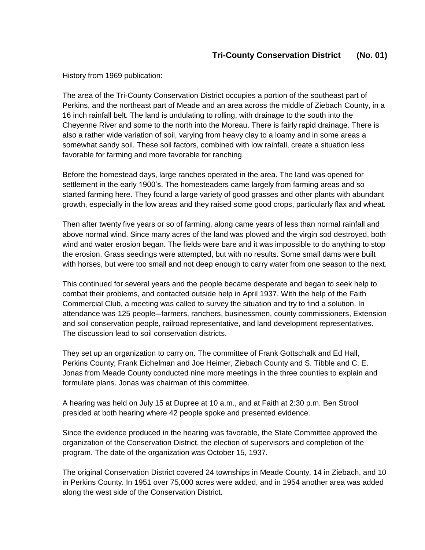## **Tri-County Conservation District (No. 01)**

History from 1969 publication:

The area of the Tri-County Conservation District occupies a portion of the southeast part of Perkins, and the northeast part of Meade and an area across the middle of Ziebach County, in a 16 inch rainfall belt. The land is undulating to rolling, with drainage to the south into the Cheyenne River and some to the north into the Moreau. There is fairly rapid drainage. There is also a rather wide variation of soil, varying from heavy clay to a loamy and in some areas a somewhat sandy soil. These soil factors, combined with low rainfall, create a situation less favorable for farming and more favorable for ranching.

Before the homestead days, large ranches operated in the area. The land was opened for settlement in the early 1900's. The homesteaders came largely from farming areas and so started farming here. They found a large variety of good grasses and other plants with abundant growth, especially in the low areas and they raised some good crops, particularly flax and wheat.

Then after twenty five years or so of farming, along came years of less than normal rainfall and above normal wind. Since many acres of the land was plowed and the virgin sod destroyed, both wind and water erosion began. The fields were bare and it was impossible to do anything to stop the erosion. Grass seedings were attempted, but with no results. Some small dams were built with horses, but were too small and not deep enough to carry water from one season to the next.

This continued for several years and the people became desperate and began to seek help to combat their problems, and contacted outside help in April 1937. With the help of the Faith Commercial Club, a meeting was called to survey the situation and try to find a solution. In attendance was 125 people–farmers, ranchers, businessmen, county commissioners, Extension and soil conservation people, railroad representative, and land development representatives. The discussion lead to soil conservation districts.

They set up an organization to carry on. The committee of Frank Gottschalk and Ed Hall, Perkins County; Frank Eichelman and Joe Heimer, Ziebach County and S. Tibble and C. E. Jonas from Meade County conducted nine more meetings in the three counties to explain and formulate plans. Jonas was chairman of this committee.

A hearing was held on July 15 at Dupree at 10 a.m., and at Faith at 2:30 p.m. Ben Strool presided at both hearing where 42 people spoke and presented evidence.

Since the evidence produced in the hearing was favorable, the State Committee approved the organization of the Conservation District, the election of supervisors and completion of the program. The date of the organization was October 15, 1937.

The original Conservation District covered 24 townships in Meade County, 14 in Ziebach, and 10 in Perkins County. In 1951 over 75,000 acres were added, and in 1954 another area was added along the west side of the Conservation District.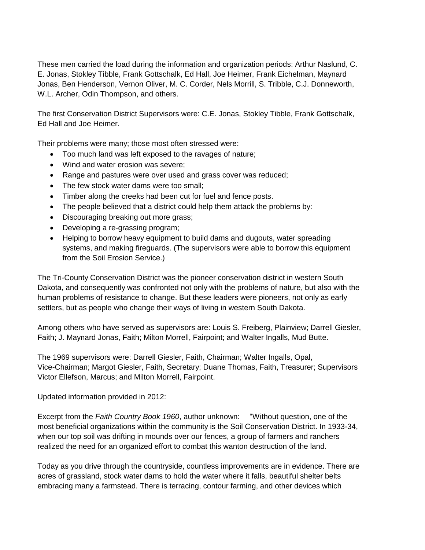These men carried the load during the information and organization periods: Arthur Naslund, C. E. Jonas, Stokley Tibble, Frank Gottschalk, Ed Hall, Joe Heimer, Frank Eichelman, Maynard Jonas, Ben Henderson, Vernon Oliver, M. C. Corder, Nels Morrill, S. Tribble, C.J. Donneworth, W.L. Archer, Odin Thompson, and others.

The first Conservation District Supervisors were: C.E. Jonas, Stokley Tibble, Frank Gottschalk, Ed Hall and Joe Heimer.

Their problems were many; those most often stressed were:

- Too much land was left exposed to the ravages of nature;
- Wind and water erosion was severe;
- Range and pastures were over used and grass cover was reduced;
- The few stock water dams were too small;
- Timber along the creeks had been cut for fuel and fence posts.
- The people believed that a district could help them attack the problems by:
- Discouraging breaking out more grass;
- Developing a re-grassing program;
- Helping to borrow heavy equipment to build dams and dugouts, water spreading systems, and making fireguards. (The supervisors were able to borrow this equipment from the Soil Erosion Service.)

The Tri-County Conservation District was the pioneer conservation district in western South Dakota, and consequently was confronted not only with the problems of nature, but also with the human problems of resistance to change. But these leaders were pioneers, not only as early settlers, but as people who change their ways of living in western South Dakota.

Among others who have served as supervisors are: Louis S. Freiberg, Plainview; Darrell Giesler, Faith; J. Maynard Jonas, Faith; Milton Morrell, Fairpoint; and Walter Ingalls, Mud Butte.

The 1969 supervisors were: Darrell Giesler, Faith, Chairman; Walter Ingalls, Opal, Vice-Chairman; Margot Giesler, Faith, Secretary; Duane Thomas, Faith, Treasurer; Supervisors Victor Ellefson, Marcus; and Milton Morrell, Fairpoint.

Updated information provided in 2012:

Excerpt from the *Faith Country Book 1960*, author unknown: "Without question, one of the most beneficial organizations within the community is the Soil Conservation District. In 1933-34, when our top soil was drifting in mounds over our fences, a group of farmers and ranchers realized the need for an organized effort to combat this wanton destruction of the land.

Today as you drive through the countryside, countless improvements are in evidence. There are acres of grassland, stock water dams to hold the water where it falls, beautiful shelter belts embracing many a farmstead. There is terracing, contour farming, and other devices which